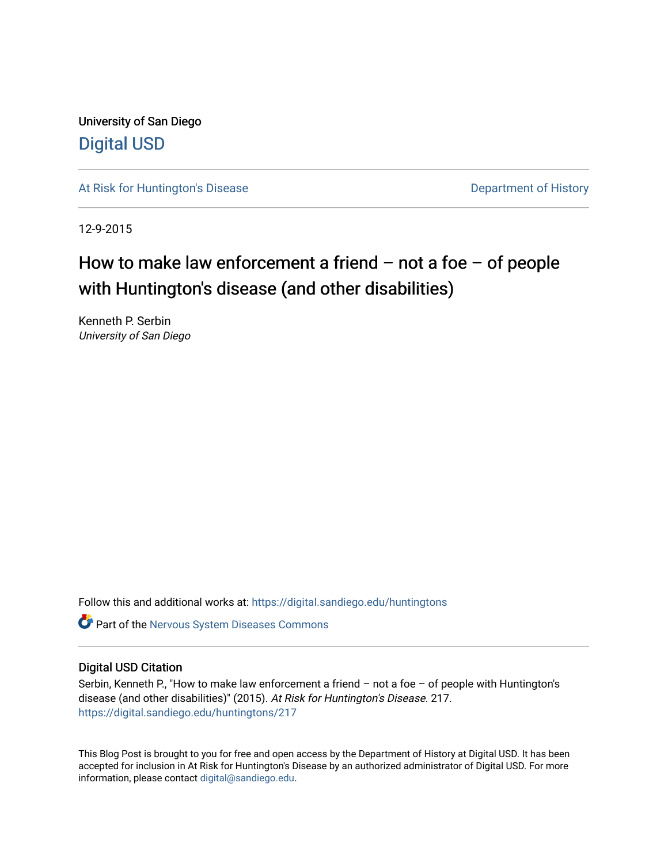University of San Diego [Digital USD](https://digital.sandiego.edu/)

[At Risk for Huntington's Disease](https://digital.sandiego.edu/huntingtons) **Department of History** Department of History

12-9-2015

# How to make law enforcement a friend  $-$  not a foe  $-$  of people with Huntington's disease (and other disabilities)

Kenneth P. Serbin University of San Diego

Follow this and additional works at: [https://digital.sandiego.edu/huntingtons](https://digital.sandiego.edu/huntingtons?utm_source=digital.sandiego.edu%2Fhuntingtons%2F217&utm_medium=PDF&utm_campaign=PDFCoverPages)

**C** Part of the [Nervous System Diseases Commons](http://network.bepress.com/hgg/discipline/928?utm_source=digital.sandiego.edu%2Fhuntingtons%2F217&utm_medium=PDF&utm_campaign=PDFCoverPages)

# Digital USD Citation

Serbin, Kenneth P., "How to make law enforcement a friend – not a foe – of people with Huntington's disease (and other disabilities)" (2015). At Risk for Huntington's Disease. 217. [https://digital.sandiego.edu/huntingtons/217](https://digital.sandiego.edu/huntingtons/217?utm_source=digital.sandiego.edu%2Fhuntingtons%2F217&utm_medium=PDF&utm_campaign=PDFCoverPages)

This Blog Post is brought to you for free and open access by the Department of History at Digital USD. It has been accepted for inclusion in At Risk for Huntington's Disease by an authorized administrator of Digital USD. For more information, please contact [digital@sandiego.edu.](mailto:digital@sandiego.edu)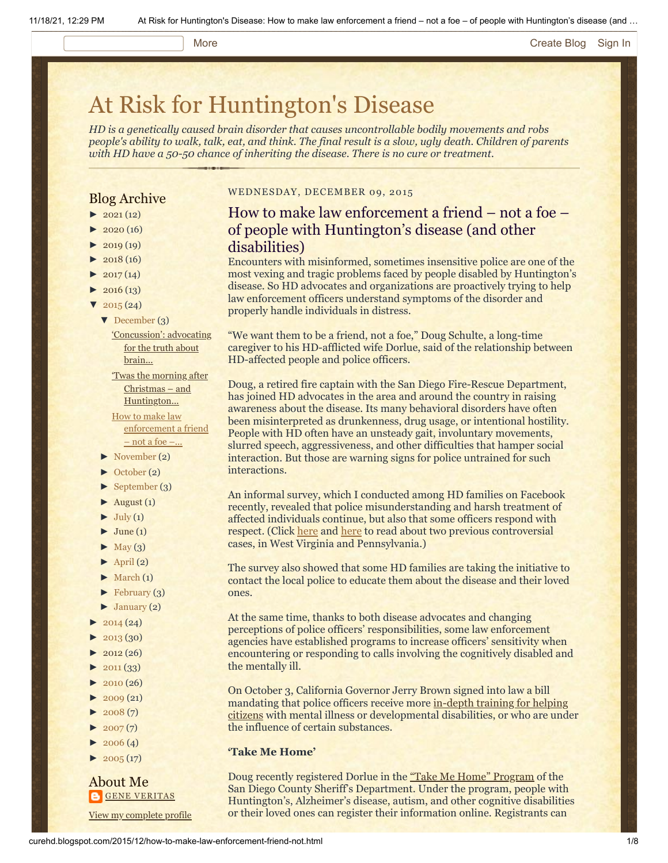#### More **[Create Blog](https://www.blogger.com/home#create) [Sign In](https://www.blogger.com/)**

# [At Risk for Huntington's Disease](http://curehd.blogspot.com/)

*HD is a genetically caused brain disorder that causes uncontrollable bodily movements and robs people's ability to walk, talk, eat, and think. The final result is a slow, ugly death. Children of parents with HD have a 50-50 chance of inheriting the disease. There is no cure or treatment.*

# Blog Archive

- $\blacktriangleright$  [2021](http://curehd.blogspot.com/2021/) (12)
- $2020(16)$  $2020(16)$
- $2019(19)$  $2019(19)$
- $\blacktriangleright$  [2018](http://curehd.blogspot.com/2018/) (16)
- $2017(14)$  $2017(14)$
- $-2016(13)$  $-2016(13)$  $-2016(13)$
- $\sqrt{2015(24)}$  $\sqrt{2015(24)}$  $\sqrt{2015(24)}$ 
	- [▼](javascript:void(0)) [December](http://curehd.blogspot.com/2015/12/) (3)

# ['Concussion':](http://curehd.blogspot.com/2015/12/concussion-advocating-for-truth-about.html) advocating for the truth about brain...

- 'Twas the morning after Christmas – and [Huntington...](http://curehd.blogspot.com/2015/12/twas-morning-after-christmas-and.html)
- How to make law [enforcement](http://curehd.blogspot.com/2015/12/how-to-make-law-enforcement-friend-not.html) a friend  $-$  not a foe  $-$ ...
- [►](javascript:void(0)) [November](http://curehd.blogspot.com/2015/11/) (2)
- [►](javascript:void(0)) [October](http://curehd.blogspot.com/2015/10/) (2)
- [►](javascript:void(0)) [September](http://curehd.blogspot.com/2015/09/) (3)
- $\blacktriangleright$  [August](http://curehd.blogspot.com/2015/08/) (1)
- $\blacktriangleright$  [July](http://curehd.blogspot.com/2015/07/) (1)
- $\blacktriangleright$  [June](http://curehd.blogspot.com/2015/06/) (1)
- $\blacktriangleright$  [May](http://curehd.blogspot.com/2015/05/) (3)
- $\blacktriangleright$  [April](http://curehd.blogspot.com/2015/04/) (2)
- $\blacktriangleright$  [March](http://curehd.blogspot.com/2015/03/)  $(1)$
- $\blacktriangleright$  [February](http://curehd.blogspot.com/2015/02/) (3)
- $\blacktriangleright$  [January](http://curehd.blogspot.com/2015/01/) (2)
- $2014(24)$  $2014(24)$
- [►](javascript:void(0)) [2013](http://curehd.blogspot.com/2013/) (30)
- $\blacktriangleright$  [2012](http://curehd.blogspot.com/2012/) (26)
- $\blacktriangleright$  [2011](http://curehd.blogspot.com/2011/) (33)
- $2010(26)$  $2010(26)$
- $\blacktriangleright$  [2009](http://curehd.blogspot.com/2009/) (21)
- $-2008(7)$  $-2008(7)$  $-2008(7)$
- $\blacktriangleright$  [2007](http://curehd.blogspot.com/2007/) $(7)$
- $\blacktriangleright$  [2006](http://curehd.blogspot.com/2006/) (4)
- $\blacktriangleright$  [2005](http://curehd.blogspot.com/2005/) (17)

# About Me **GENE [VERITAS](https://www.blogger.com/profile/10911736205741688185)**

View my [complete](https://www.blogger.com/profile/10911736205741688185) profile

# WEDNESDAY, DECEMBER 09, 2015

# How to make law enforcement a friend – not a foe – of people with Huntington's disease (and other disabilities)

Encounters with misinformed, sometimes insensitive police are one of the most vexing and tragic problems faced by people disabled by Huntington's disease. So HD advocates and organizations are proactively trying to help law enforcement officers understand symptoms of the disorder and properly handle individuals in distress.

"We want them to be a friend, not a foe," Doug Schulte, a long-time caregiver to his HD-afflicted wife Dorlue, said of the relationship between HD-affected people and police officers.

Doug, a retired fire captain with the San Diego Fire-Rescue Department, has joined HD advocates in the area and around the country in raising awareness about the disease. Its many behavioral disorders have often been misinterpreted as drunkenness, drug usage, or intentional hostility. People with HD often have an unsteady gait, involuntary movements, slurred speech, aggressiveness, and other difficulties that hamper social interaction. But those are warning signs for police untrained for such interactions.

An informal survey, which I conducted among HD families on Facebook recently, revealed that police misunderstanding and harsh treatment of affected individuals continue, but also that some officers respond with respect. (Click [here](http://curehd.blogspot.com/2014/09/outrage-over-video-of-polices-rough.html) and [here](http://curehd.blogspot.com/2015/01/police-killing-of-man-with-huntingtons.html) to read about two previous controversial cases, in West Virginia and Pennsylvania.)

The survey also showed that some HD families are taking the initiative to contact the local police to educate them about the disease and their loved ones.

At the same time, thanks to both disease advocates and changing perceptions of police officers' responsibilities, some law enforcement agencies have established programs to increase officers' sensitivity when encountering or responding to calls involving the cognitively disabled and the mentally ill.

On October 3, California Governor Jerry Brown signed into law a bill mandating that police officers receive more in-depth training for helping citizens with mental [illness or developmental disabilities, or who are und](http://www.sandiegouniontribune.com/news/2015/dec/05/police-training-mental-illness/)er the influence of certain substances.

# **'Take Me Home'**

Doug recently registered Dorlue in the ["Take Me Home" Program](http://www.sdsheriff.net/tmh/index.html) of the San Diego County Sheriff's Department. Under the program, people with Huntington's, Alzheimer's disease, autism, and other cognitive disabilities or their loved ones can register their information online. Registrants can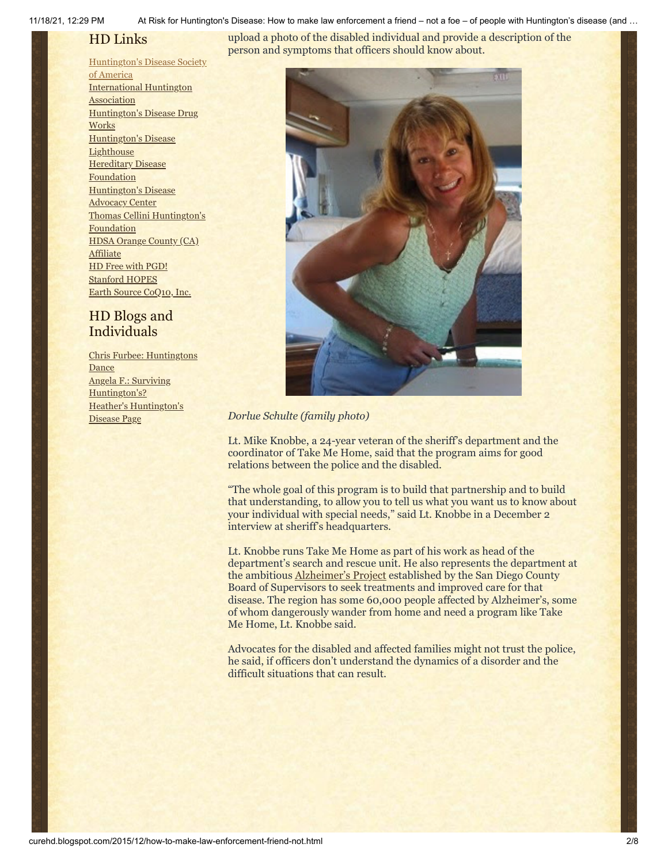11/18/21, 12:29 PM At Risk for Huntington's Disease: How to make law enforcement a friend – not a foe – of people with Huntington's disease (and …

upload a photo of the disabled individual and provide a description of the

# HD Links

# [Huntington's](http://www.hdsa.org/) Disease Society

of America [International](http://www.huntington-assoc.com/) Huntington **Association** [Huntington's](http://hddrugworks.org/) Disease Drug **Works** [Huntington's](http://www.hdlighthouse.org/) Disease **Lighthouse Hereditary Disease [Foundation](http://www.hdfoundation.org/)** [Huntington's](http://www.hdac.org/) Disease Advocacy Center Thomas [Cellini Huntington's](http://www.ourtchfoundation.org/) **Foundation** HDSA Orange County (CA) **[Affiliate](http://www.hdsaoc.org/)** HD Free with [PGD!](http://www.hdfreewithpgd.com/) [Stanford](http://www.stanford.edu/group/hopes/) HOPES Earth Source [CoQ10,](http://www.escoq10.com/) Inc.

# HD Blogs and Individuals

Chris Furbee: [Huntingtons](http://www.huntingtonsdance.org/) **Dance** Angela F.: Surviving [Huntington's?](http://survivinghuntingtons.blogspot.com/) Heather's [Huntington's](http://heatherdugdale.angelfire.com/) Disease Page



*Dorlue Schulte (family photo)*

Lt. Mike Knobbe, a 24-year veteran of the sheriff's department and the coordinator of Take Me Home, said that the program aims for good relations between the police and the disabled.

"The whole goal of this program is to build that partnership and to build that understanding, to allow you to tell us what you want us to know about your individual with special needs," said Lt. Knobbe in a December 2 interview at sheriff's headquarters.

Lt. Knobbe runs Take Me Home as part of his work as head of the department's search and rescue unit. He also represents the department at the ambitious [Alzheimer's Project](http://www.sandiegouniontribune.com/news/2015/mar/17/alzheimers-project-plan/) established by the San Diego County Board of Supervisors to seek treatments and improved care for that disease. The region has some 60,000 people affected by Alzheimer's, some of whom dangerously wander from home and need a program like Take Me Home, Lt. Knobbe said.

Advocates for the disabled and affected families might not trust the police, he said, if officers don't understand the dynamics of a disorder and the difficult situations that can result.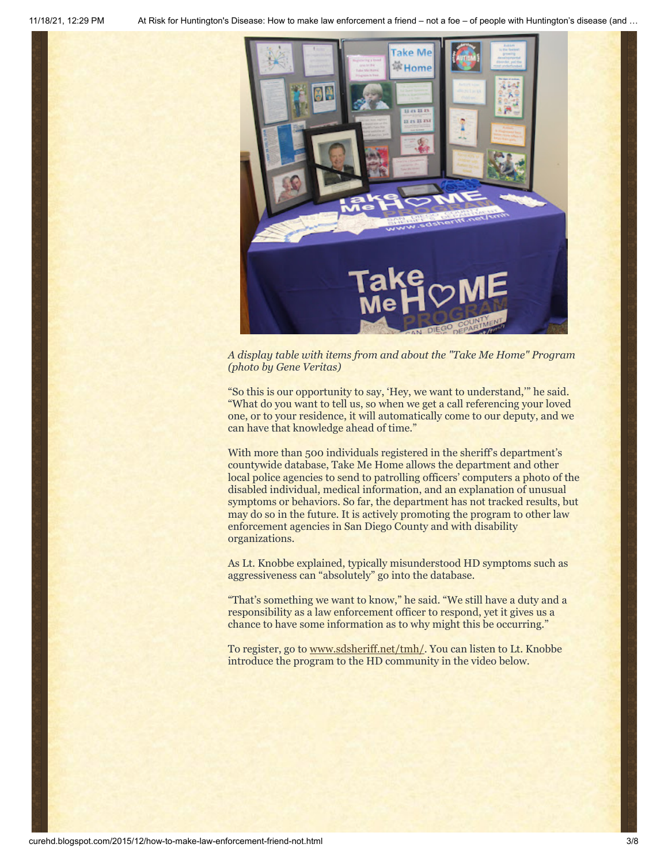

*A display table with items from and about the "Take Me Home" Program (photo by Gene Veritas)*

"So this is our opportunity to say, 'Hey, we want to understand,'" he said. "What do you want to tell us, so when we get a call referencing your loved one, or to your residence, it will automatically come to our deputy, and we can have that knowledge ahead of time."

With more than 500 individuals registered in the sheriff's department's countywide database, Take Me Home allows the department and other local police agencies to send to patrolling officers' computers a photo of the disabled individual, medical information, and an explanation of unusual symptoms or behaviors. So far, the department has not tracked results, but may do so in the future. It is actively promoting the program to other law enforcement agencies in San Diego County and with disability organizations.

As Lt. Knobbe explained, typically misunderstood HD symptoms such as aggressiveness can "absolutely" go into the database.

"That's something we want to know," he said. "We still have a duty and a responsibility as a law enforcement officer to respond, yet it gives us a chance to have some information as to why might this be occurring."

To register, go to [www.sdsheriff.net/tmh/](http://www.sdsheriff.net/tmh/). You can listen to Lt. Knobbe introduce the program to the HD community in the video below.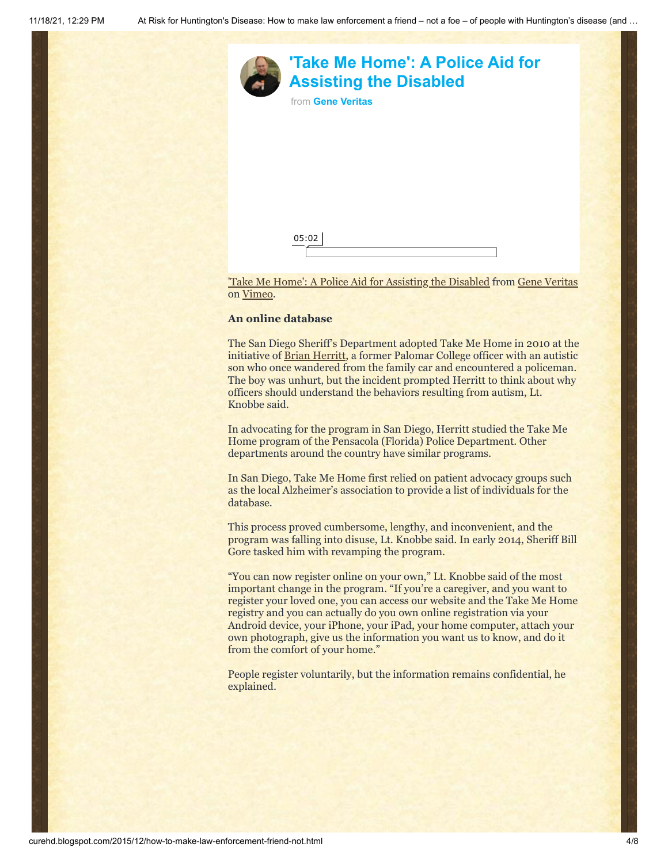



['Take Me Home': A Police Aid for Assisting the Disabled](https://vimeo.com/148133654) from [Gene Veritas](https://vimeo.com/user6019843) on [Vimeo](https://vimeo.com/).

### **An online database**

The San Diego Sheriff's Department adopted Take Me Home in 2010 at the initiative of <u>[Brian Herritt](http://www.autismriskmanagement.com/about-brian-herritt)</u>, a former Palomar College officer with an autistic son who once wandered from the family car and encountered a policeman. The boy was unhurt, but the incident prompted Herritt to think about why officers should understand the behaviors resulting from autism, Lt. Knobbe said.

In advocating for the program in San Diego, Herritt studied the Take Me Home program of the Pensacola (Florida) Police Department. Other departments around the country have similar programs.

In San Diego, Take Me Home first relied on patient advocacy groups such as the local Alzheimer's association to provide a list of individuals for the database.

This process proved cumbersome, lengthy, and inconvenient, and the program was falling into disuse, Lt. Knobbe said. In early 2014, Sheriff Bill Gore tasked him with revamping the program.

"You can now register online on your own," Lt. Knobbe said of the most important change in the program. "If you're a caregiver, and you want to register your loved one, you can access our website and the Take Me Home registry and you can actually do you own online registration via your Android device, your iPhone, your iPad, your home computer, attach your own photograph, give us the information you want us to know, and do it from the comfort of your home."

People register voluntarily, but the information remains confidential, he explained.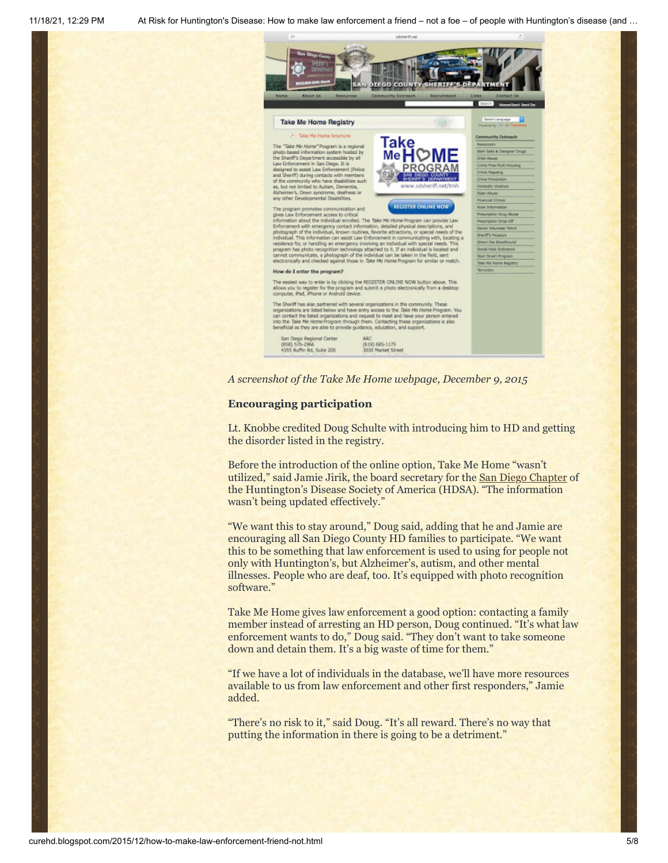



#### **Encouraging participation**

Lt. Knobbe credited Doug Schulte with introducing him to HD and getting the disorder listed in the registry.

Before the introduction of the online option, Take Me Home "wasn't utilized," said Jamie Jirik, the board secretary for the **San Diego Chapter** of the Huntington's Disease Society of America (HDSA). "The information wasn't being updated effectively."

"We want this to stay around," Doug said, adding that he and Jamie are encouraging all San Diego County HD families to participate. "We want this to be something that law enforcement is used to using for people not only with Huntington's, but Alzheimer's, autism, and other mental illnesses. People who are deaf, too. It's equipped with photo recognition software."

Take Me Home gives law enforcement a good option: contacting a family member instead of arresting an HD person, Doug continued. "It's what law enforcement wants to do," Doug said. "They don't want to take someone down and detain them. It's a big waste of time for them."

"If we have a lot of individuals in the database, we'll have more resources available to us from law enforcement and other first responders," Jamie added.

"There's no risk to it," said Doug. "It's all reward. There's no way that putting the information in there is going to be a detriment."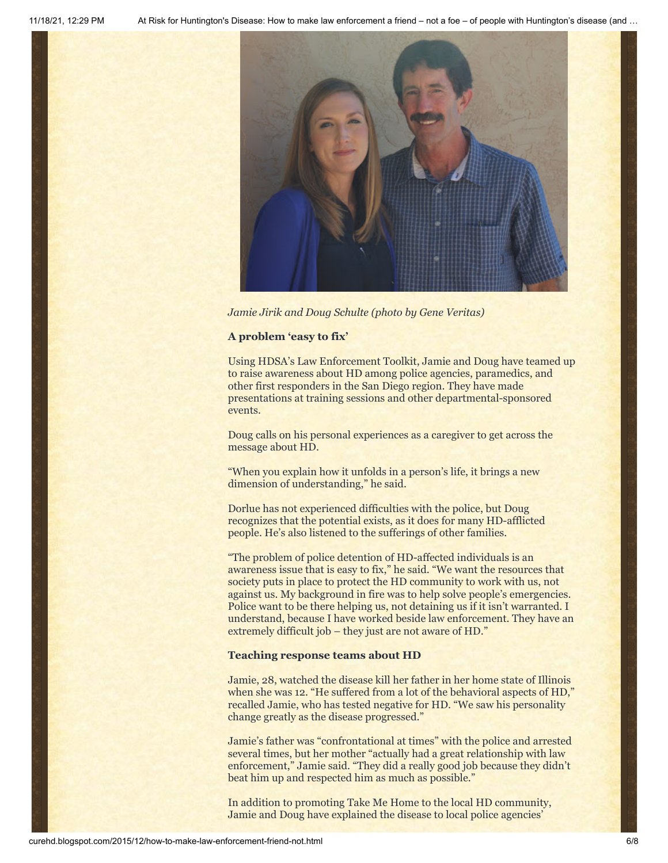

*Jamie Jirik and Doug Schulte (photo by Gene Veritas)*

# **A problem 'easy to fix'**

Using HDSA's Law Enforcement Toolkit, Jamie and Doug have teamed up to raise awareness about HD among police agencies, paramedics, and other first responders in the San Diego region. They have made presentations at training sessions and other departmental-sponsored events.

Doug calls on his personal experiences as a caregiver to get across the message about HD.

"When you explain how it unfolds in a person's life, it brings a new dimension of understanding," he said.

Dorlue has not experienced difficulties with the police, but Doug recognizes that the potential exists, as it does for many HD-afflicted people. He's also listened to the sufferings of other families.

"The problem of police detention of HD-affected individuals is an awareness issue that is easy to fix," he said. "We want the resources that society puts in place to protect the HD community to work with us, not against us. My background in fire was to help solve people's emergencies. Police want to be there helping us, not detaining us if it isn't warranted. I understand, because I have worked beside law enforcement. They have an extremely difficult job – they just are not aware of HD."

#### **Teaching response teams about HD**

Jamie, 28, watched the disease kill her father in her home state of Illinois when she was 12. "He suffered from a lot of the behavioral aspects of HD," recalled Jamie, who has tested negative for HD. "We saw his personality change greatly as the disease progressed."

Jamie's father was "confrontational at times" with the police and arrested several times, but her mother "actually had a great relationship with law enforcement," Jamie said. "They did a really good job because they didn't beat him up and respected him as much as possible."

In addition to promoting Take Me Home to the local HD community, Jamie and Doug have explained the disease to local police agencies'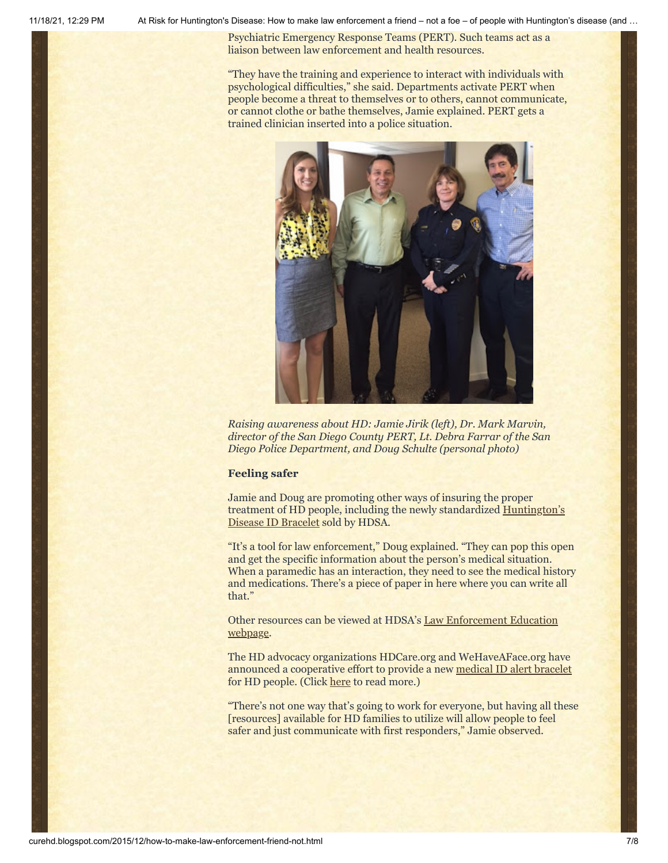11/18/21, 12:29 PM At Risk for Huntington's Disease: How to make law enforcement a friend – not a foe – of people with Huntington's disease (and …

Psychiatric Emergency Response Teams (PERT). Such teams act as a liaison between law enforcement and health resources.

"They have the training and experience to interact with individuals with psychological difficulties," she said. Departments activate PERT when people become a threat to themselves or to others, cannot communicate, or cannot clothe or bathe themselves, Jamie explained. PERT gets a trained clinician inserted into a police situation.



*Raising awareness about HD: Jamie Jirik (left), Dr. Mark Marvin, director of the San Diego County PERT, Lt. Debra Farrar of the San Diego Police Department, and Doug Schulte (personal photo)*

# **Feeling safer**

Jamie and Doug are promoting other ways of insuring the proper treatment of HD people, including [the newly standardized Huntington's](http://hdsa.org/living-with-hd/law-enforcement-education/) Disease ID Bracelet sold by HDSA.

"It's a tool for law enforcement," Doug explained. "They can pop this open and get the specific information about the person's medical situation. When a paramedic has an interaction, they need to see the medical history and medications. There's a piece of paper in here where you can write all that."

Other resources can [be viewed at HDSA's Law Enforcement Education](http://hdsa.org/living-with-hd/law-enforcement-education/) webpage.

The HD advocacy organizations HDCare.org and WeHaveAFace.org have announced a cooperative effort to provide a new [medical ID alert bracelet](http://www.wehaveaface.org/#!id/c14tp) for HD people. (Click [here](https://meandhd.wordpress.com/2015/12/03/461/) to read more.)

"There's not one way that's going to work for everyone, but having all these [resources] available for HD families to utilize will allow people to feel safer and just communicate with first responders," Jamie observed.